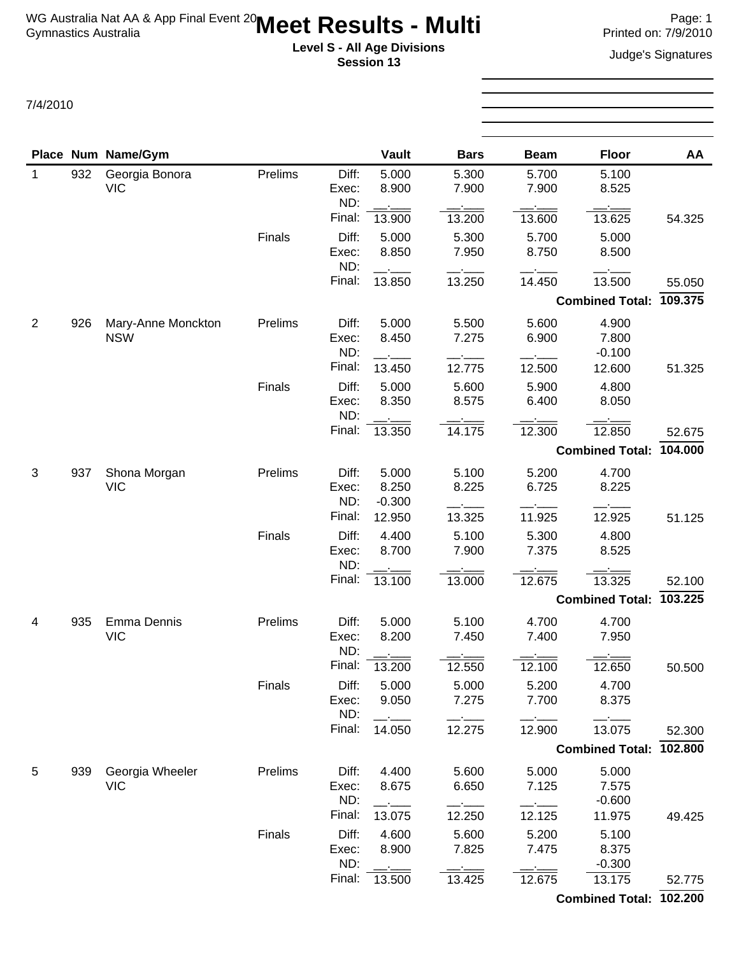**Level S - All Age Divisions** Judge's Signatures **Session 13**

7/4/2010

**Place Num Name/Gym** 1 932 Georgia Bonora VIC

2 926 Mary-Anne Monckton NSW

|         |        | <b>Session 13</b> |             |             |                         | Juuye 3 Jiyi lalul es |
|---------|--------|-------------------|-------------|-------------|-------------------------|-----------------------|
|         |        |                   |             |             |                         |                       |
|         |        | <b>Vault</b>      | <b>Bars</b> | <b>Beam</b> | <b>Floor</b>            | AA                    |
| Prelims | Diff:  | 5.000             | 5.300       | 5.700       | 5.100                   |                       |
|         | Exec:  | 8.900             | 7.900       | 7.900       | 8.525                   |                       |
|         | ND:    |                   |             |             |                         |                       |
|         | Final: | 13.900            | 13.200      | 13.600      | 13.625                  | 54.325                |
| Finals  | Diff:  | 5.000             | 5.300       | 5.700       | 5.000                   |                       |
|         | Exec:  | 8.850             | 7.950       | 8.750       | 8.500                   |                       |
|         | ND:    |                   |             |             |                         |                       |
|         | Final: | 13.850            | 13.250      | 14.450      | 13.500                  | 55.050                |
|         |        |                   |             |             | Combined Total: 109.375 |                       |
| Prelims | Diff:  | 5.000             | 5.500       | 5.600       | 4.900                   |                       |
|         | Exec:  | 8.450             | 7.275       | 6.900       | 7.800                   |                       |
|         | ND:    |                   |             |             | $-0.100$                |                       |
|         | Final: | 13.450            | 12.775      | 12.500      | 12.600                  | 51.325                |
| Finals  | Diff:  | 5.000             | 5.600       | 5.900       | 4.800                   |                       |
|         | Exec:  | 8.350             | 8.575       | 6.400       | 8.050                   |                       |
|         | ND:    |                   |             |             |                         |                       |
|         | Final: | 13.350            | 14.175      | 12.300      | 12.850                  | 52.675                |
|         |        |                   |             |             | Combined Total: 104.000 |                       |
| Prelims | Diff:  | 5.000             | 5.100       | 5.200       | 4.700                   |                       |
|         | Exec:  | 8.250             | 8.225       | 6.725       | 8.225                   |                       |
|         | ND:    | $-0.300$          |             |             |                         |                       |

| 3              | 937 | Shona Morgan<br><b>VIC</b>       | Prelims | Diff:<br>Exec:<br>ND:<br>Final: | 5.000<br>8.250<br>$-0.300$ | 5.100<br>8.225           | 5.200<br>6.725           | 4.700<br>8.225                       |         |
|----------------|-----|----------------------------------|---------|---------------------------------|----------------------------|--------------------------|--------------------------|--------------------------------------|---------|
|                |     |                                  | Finals  | Diff:<br>Exec:<br>ND:           | 12.950<br>4.400<br>8.700   | 13.325<br>5.100<br>7.900 | 11.925<br>5.300<br>7.375 | 12.925<br>4.800<br>8.525             | 51.125  |
|                |     |                                  |         | Final:                          | 13.100                     | 13.000                   | 12.675                   | 13.325                               | 52.100  |
|                |     |                                  |         |                                 |                            |                          |                          | <b>Combined Total:</b>               | 103.225 |
| $\overline{4}$ | 935 | <b>Emma Dennis</b><br><b>VIC</b> | Prelims | Diff:<br>Exec:<br>ND:<br>Final: | 5.000<br>8.200<br>13.200   | 5.100<br>7.450<br>12.550 | 4.700<br>7.400<br>12.100 | 4.700<br>7.950<br>12.650             | 50.500  |
|                |     |                                  | Finals  | Diff:<br>Exec:<br>ND:<br>Final: | 5.000<br>9.050<br>14.050   | 5.000<br>7.275<br>12.275 | 5.200<br>7.700<br>12.900 | 4.700<br>8.375<br>13.075             | 52.300  |
|                |     |                                  |         |                                 |                            |                          |                          | <b>Combined Total:</b>               | 102.800 |
| 5              | 939 | Georgia Wheeler<br><b>VIC</b>    | Prelims | Diff:<br>Exec:<br>ND:<br>Final: | 4.400<br>8.675<br>13.075   | 5.600<br>6.650<br>12.250 | 5.000<br>7.125<br>12.125 | 5.000<br>7.575<br>$-0.600$<br>11.975 | 49.425  |
|                |     |                                  | Finals  | Diff:<br>Exec:<br>ND:           | 4.600<br>8.900             | 5.600<br>7.825           | 5.200<br>7.475           | 5.100<br>8.375<br>$-0.300$           |         |
|                |     |                                  |         | Final:                          | 13.500                     | 13.425                   | 12.675                   | 13.175                               | 52.775  |
|                |     |                                  |         |                                 |                            |                          |                          | <b>Combined Total:</b>               | 102.200 |